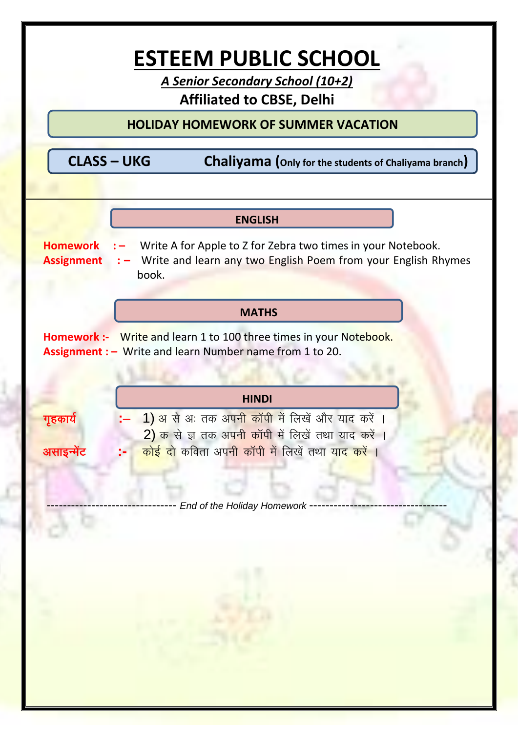